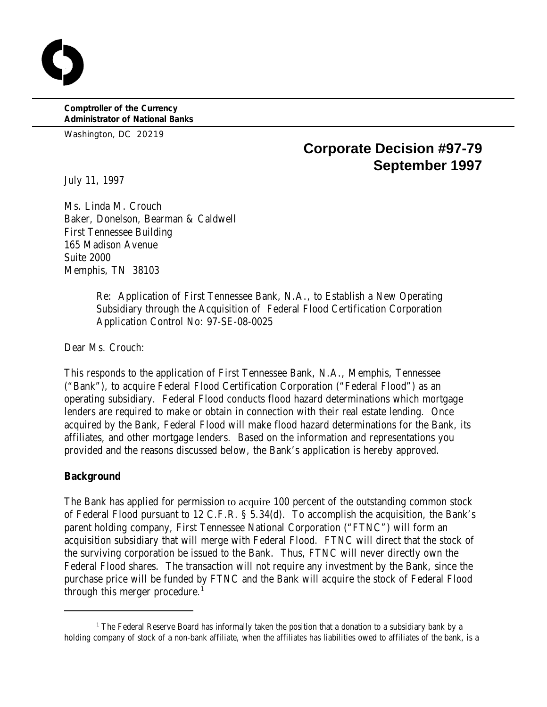**Comptroller of the Currency Administrator of National Banks**

Washington, DC 20219

# **Corporate Decision #97-79 September 1997**

July 11, 1997

Ms. Linda M. Crouch Baker, Donelson, Bearman & Caldwell First Tennessee Building 165 Madison Avenue Suite 2000 Memphis, TN 38103

> Re: Application of First Tennessee Bank, N.A., to Establish a New Operating Subsidiary through the Acquisition of Federal Flood Certification Corporation Application Control No: 97-SE-08-0025

Dear Ms. Crouch:

This responds to the application of First Tennessee Bank, N.A., Memphis, Tennessee ("Bank"), to acquire Federal Flood Certification Corporation ("Federal Flood") as an operating subsidiary. Federal Flood conducts flood hazard determinations which mortgage lenders are required to make or obtain in connection with their real estate lending. Once acquired by the Bank, Federal Flood will make flood hazard determinations for the Bank, its affiliates, and other mortgage lenders. Based on the information and representations you provided and the reasons discussed below, the Bank's application is hereby approved.

## **Background**

The Bank has applied for permission to acquire 100 percent of the outstanding common stock of Federal Flood pursuant to 12 C.F.R. § 5.34(d). To accomplish the acquisition, the Bank's parent holding company, First Tennessee National Corporation ("FTNC") will form an acquisition subsidiary that will merge with Federal Flood. FTNC will direct that the stock of the surviving corporation be issued to the Bank. Thus, FTNC will never directly own the Federal Flood shares. The transaction will not require any investment by the Bank, since the purchase price will be funded by FTNC and the Bank will acquire the stock of Federal Flood through this merger procedure.<sup>1</sup>

 $<sup>1</sup>$  The Federal Reserve Board has informally taken the position that a donation to a subsidiary bank by a</sup> holding company of stock of a non-bank affiliate, when the affiliates has liabilities owed to affiliates of the bank, is a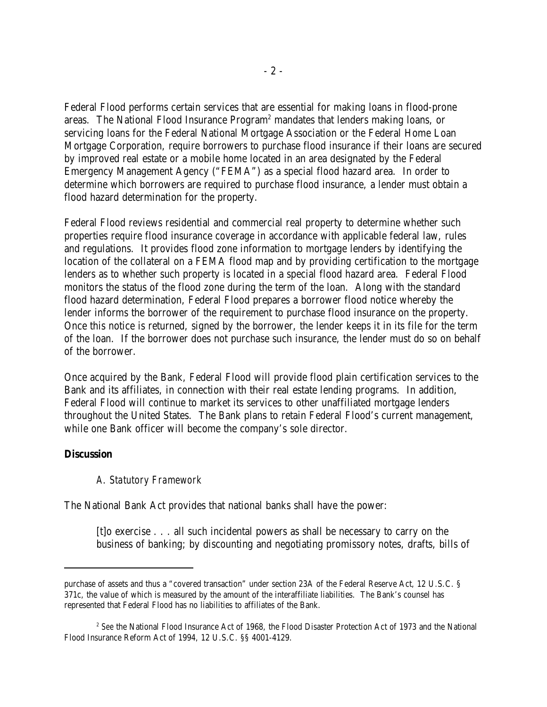Federal Flood performs certain services that are essential for making loans in flood-prone areas. The National Flood Insurance  $Program<sup>2</sup>$  mandates that lenders making loans, or servicing loans for the Federal National Mortgage Association or the Federal Home Loan Mortgage Corporation, require borrowers to purchase flood insurance if their loans are secured by improved real estate or a mobile home located in an area designated by the Federal Emergency Management Agency ("FEMA") as a special flood hazard area. In order to determine which borrowers are required to purchase flood insurance, a lender must obtain a flood hazard determination for the property.

Federal Flood reviews residential and commercial real property to determine whether such properties require flood insurance coverage in accordance with applicable federal law, rules and regulations. It provides flood zone information to mortgage lenders by identifying the location of the collateral on a FEMA flood map and by providing certification to the mortgage lenders as to whether such property is located in a special flood hazard area. Federal Flood monitors the status of the flood zone during the term of the loan. Along with the standard flood hazard determination, Federal Flood prepares a borrower flood notice whereby the lender informs the borrower of the requirement to purchase flood insurance on the property. Once this notice is returned, signed by the borrower, the lender keeps it in its file for the term of the loan. If the borrower does not purchase such insurance, the lender must do so on behalf of the borrower.

Once acquired by the Bank, Federal Flood will provide flood plain certification services to the Bank and its affiliates, in connection with their real estate lending programs. In addition, Federal Flood will continue to market its services to other unaffiliated mortgage lenders throughout the United States. The Bank plans to retain Federal Flood's current management, while one Bank officer will become the company's sole director.

#### **Discussion**

## *A. Statutory Framework*

The National Bank Act provides that national banks shall have the power:

 $[t]$  exercise  $\ldots$  all such incidental powers as shall be necessary to carry on the business of banking; by discounting and negotiating promissory notes, drafts, bills of

purchase of assets and thus a "covered transaction" under section 23A of the Federal Reserve Act, 12 U.S.C. § 371c, the value of which is measured by the amount of the interaffiliate liabilities. The Bank's counsel has represented that Federal Flood has no liabilities to affiliates of the Bank.

<sup>&</sup>lt;sup>2</sup> See the National Flood Insurance Act of 1968, the Flood Disaster Protection Act of 1973 and the National Flood Insurance Reform Act of 1994, 12 U.S.C. §§ 4001-4129.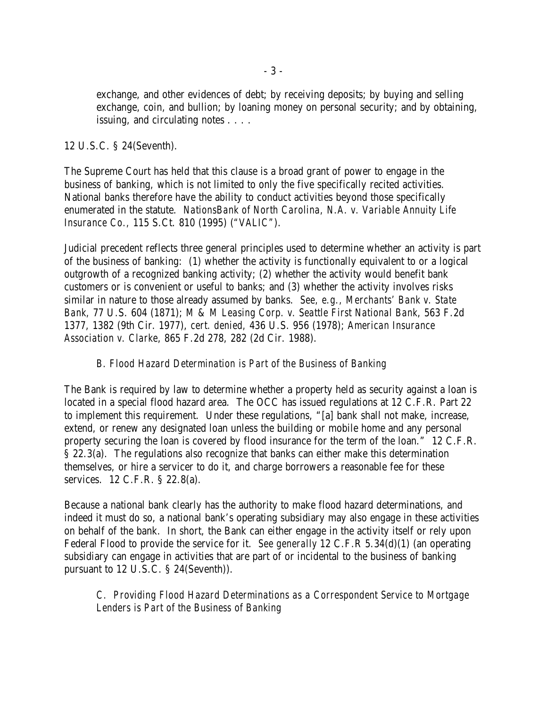exchange, and other evidences of debt; by receiving deposits; by buying and selling exchange, coin, and bullion; by loaning money on personal security; and by obtaining, issuing, and circulating notes . . . .

# 12 U.S.C. § 24(Seventh).

The Supreme Court has held that this clause is a broad grant of power to engage in the business of banking, which is not limited to only the five specifically recited activities. National banks therefore have the ability to conduct activities beyond those specifically enumerated in the statute. *NationsBank of North Carolina, N.A. v. Variable Annuity Life Insurance Co.,* 115 S.Ct. 810 (1995) (*"VALIC"*).

Judicial precedent reflects three general principles used to determine whether an activity is part of the business of banking: (1) whether the activity is functionally equivalent to or a logical outgrowth of a recognized banking activity; (2) whether the activity would benefit bank customers or is convenient or useful to banks; and (3) whether the activity involves risks similar in nature to those already assumed by banks. *See, e.g., Merchants' Bank v. State Bank,* 77 U.S. 604 (1871); *M & M Leasing Corp. v. Seattle First National Bank*, 563 F.2d 1377, 1382 (9th Cir. 1977), *cert. denied,* 436 U.S. 956 (1978); *American Insurance Association v. Clarke*, 865 F.2d 278, 282 (2d Cir. 1988).

# *B. Flood Hazard Determination is Part of the Business of Banking*

The Bank is required by law to determine whether a property held as security against a loan is located in a special flood hazard area. The OCC has issued regulations at 12 C.F.R. Part 22 to implement this requirement. Under these regulations, "[a] bank shall not make, increase, extend, or renew any designated loan unless the building or mobile home and any personal property securing the loan is covered by flood insurance for the term of the loan." 12 C.F.R. § 22.3(a). The regulations also recognize that banks can either make this determination themselves, or hire a servicer to do it, and charge borrowers a reasonable fee for these services. 12 C.F.R. § 22.8(a).

Because a national bank clearly has the authority to make flood hazard determinations, and indeed it must do so, a national bank's operating subsidiary may also engage in these activities on behalf of the bank. In short, the Bank can either engage in the activity itself or rely upon Federal Flood to provide the service for it. *See generally* 12 C.F.R 5.34(d)(1) (an operating subsidiary can engage in activities that are part of or incidental to the business of banking pursuant to 12 U.S.C. § 24(Seventh)).

*C. Providing Flood Hazard Determinations as a Correspondent Service to Mortgage Lenders is Part of the Business of Banking*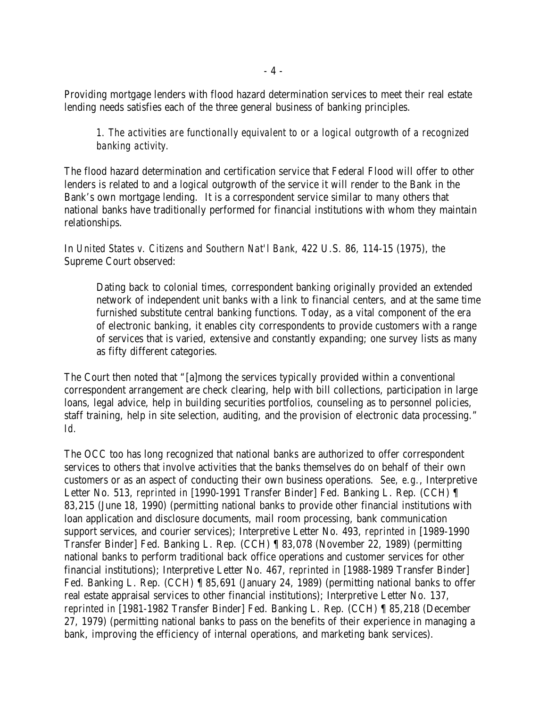Providing mortgage lenders with flood hazard determination services to meet their real estate lending needs satisfies each of the three general business of banking principles.

*1. The activities are functionally equivalent to or a logical outgrowth of a recognized banking activity.*

The flood hazard determination and certification service that Federal Flood will offer to other lenders is related to and a logical outgrowth of the service it will render to the Bank in the Bank's own mortgage lending. It is a correspondent service similar to many others that national banks have traditionally performed for financial institutions with whom they maintain relationships.

In *United States v. Citizens and Southern Nat'l Bank*, 422 U.S. 86, 114-15 (1975), the Supreme Court observed:

Dating back to colonial times, correspondent banking originally provided an extended network of independent unit banks with a link to financial centers, and at the same time furnished substitute central banking functions. Today, as a vital component of the era of electronic banking, it enables city correspondents to provide customers with a range of services that is varied, extensive and constantly expanding; one survey lists as many as fifty different categories.

The Court then noted that "[a]mong the services typically provided within a conventional correspondent arrangement are check clearing, help with bill collections, participation in large loans, legal advice, help in building securities portfolios, counseling as to personnel policies, staff training, help in site selection, auditing, and the provision of electronic data processing." *Id.*

The OCC too has long recognized that national banks are authorized to offer correspondent services to others that involve activities that the banks themselves do on behalf of their own customers or as an aspect of conducting their own business operations. *See, e.g.*, Interpretive Letter No. 513, *reprinted in* [1990-1991 Transfer Binder] Fed. Banking L. Rep. (CCH) ¶ 83,215 (June 18, 1990) (permitting national banks to provide other financial institutions with loan application and disclosure documents, mail room processing, bank communication support services, and courier services); Interpretive Letter No. 493, *reprinted in* [1989-1990 Transfer Binder] Fed. Banking L. Rep. (CCH) ¶ 83,078 (November 22, 1989) (permitting national banks to perform traditional back office operations and customer services for other financial institutions); Interpretive Letter No. 467, *reprinted in* [1988-1989 Transfer Binder] Fed. Banking L. Rep. (CCH) ¶ 85,691 (January 24, 1989) (permitting national banks to offer real estate appraisal services to other financial institutions); Interpretive Letter No. 137, *reprinted in* [1981-1982 Transfer Binder] Fed. Banking L. Rep. (CCH) ¶ 85,218 (December 27, 1979) (permitting national banks to pass on the benefits of their experience in managing a bank, improving the efficiency of internal operations, and marketing bank services).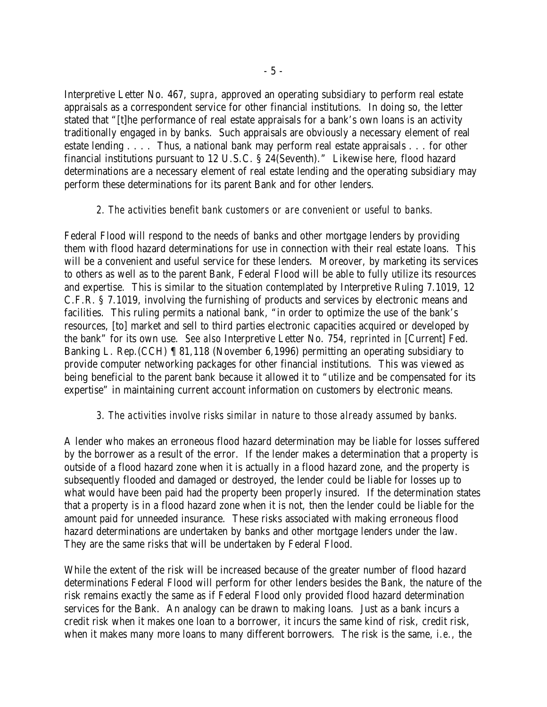Interpretive Letter No. 467, *supra*, approved an operating subsidiary to perform real estate appraisals as a correspondent service for other financial institutions. In doing so, the letter stated that "[t]he performance of real estate appraisals for a bank's own loans is an activity traditionally engaged in by banks. Such appraisals are obviously a necessary element of real estate lending . . . . Thus, a national bank may perform real estate appraisals . . . for other financial institutions pursuant to 12 U.S.C. § 24(Seventh)." Likewise here, flood hazard determinations are a necessary element of real estate lending and the operating subsidiary may perform these determinations for its parent Bank and for other lenders.

#### *2. The activities benefit bank customers or are convenient or useful to banks.*

Federal Flood will respond to the needs of banks and other mortgage lenders by providing them with flood hazard determinations for use in connection with their real estate loans. This will be a convenient and useful service for these lenders. Moreover, by marketing its services to others as well as to the parent Bank, Federal Flood will be able to fully utilize its resources and expertise. This is similar to the situation contemplated by Interpretive Ruling 7.1019, 12 C.F.R. § 7.1019, involving the furnishing of products and services by electronic means and facilities. This ruling permits a national bank, "in order to optimize the use of the bank's resources, [to] market and sell to third parties electronic capacities acquired or developed by the bank" for its own use. *See also* Interpretive Letter No. 754, *reprinted in* [Current] Fed. Banking L. Rep.(CCH) ¶ 81,118 (November 6,1996) permitting an operating subsidiary to provide computer networking packages for other financial institutions. This was viewed as being beneficial to the parent bank because it allowed it to "utilize and be compensated for its expertise" in maintaining current account information on customers by electronic means.

## *3. The activities involve risks similar in nature to those already assumed by banks*.

A lender who makes an erroneous flood hazard determination may be liable for losses suffered by the borrower as a result of the error. If the lender makes a determination that a property is outside of a flood hazard zone when it is actually in a flood hazard zone, and the property is subsequently flooded and damaged or destroyed, the lender could be liable for losses up to what would have been paid had the property been properly insured. If the determination states that a property is in a flood hazard zone when it is not, then the lender could be liable for the amount paid for unneeded insurance. These risks associated with making erroneous flood hazard determinations are undertaken by banks and other mortgage lenders under the law. They are the same risks that will be undertaken by Federal Flood.

While the extent of the risk will be increased because of the greater number of flood hazard determinations Federal Flood will perform for other lenders besides the Bank, the nature of the risk remains exactly the same as if Federal Flood only provided flood hazard determination services for the Bank. An analogy can be drawn to making loans. Just as a bank incurs a credit risk when it makes one loan to a borrower, it incurs the same kind of risk, credit risk, when it makes many more loans to many different borrowers. The risk is the same, *i.e.,* the